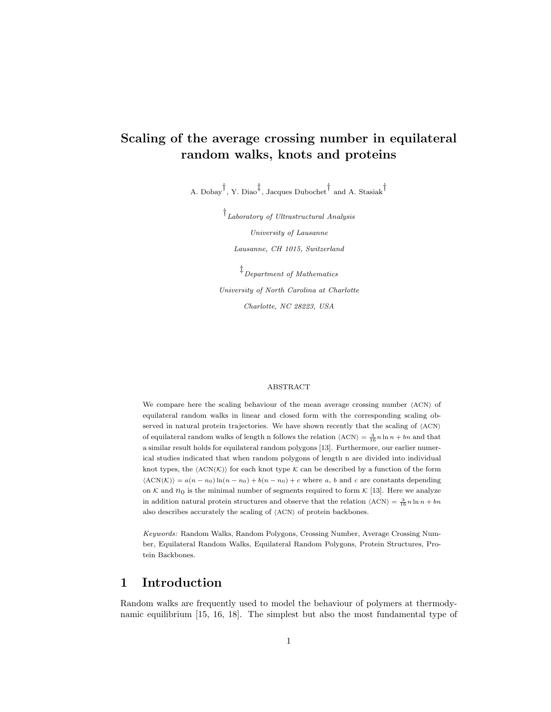# Scaling of the average crossing number in equilateral random walks, knots and proteins

A. Dobay† , Y. Diao‡ , Jacques Dubochet† and A. Stasiak†

† Laboratory of Ultrastructural Analysis University of Lausanne Lausanne, CH 1015, Switzerland

‡ Department of Mathematics University of North Carolina at Charlotte Charlotte, NC 28223, USA

#### ABSTRACT

We compare here the scaling behaviour of the mean average crossing number  $\langle \text{ACN} \rangle$  of equilateral random walks in linear and closed form with the corresponding scaling observed in natural protein trajectories. We have shown recently that the scaling of  $\langle \rm{ACN} \rangle$ of equilateral random walks of length n follows the relation  $\langle \text{ACN} \rangle = \frac{3}{16} n \ln n + bn$  and that a similar result holds for equilateral random polygons [13]. Furthermore, our earlier numerical studies indicated that when random polygons of length n are divided into individual knot types, the  $\langle \text{ACN}(\mathcal{K}) \rangle$  for each knot type  $\mathcal K$  can be described by a function of the form  $\langle\text{ACN}(\mathcal{K})\rangle = a(n - n_0) \ln(n - n_0) + b(n - n_0) + c$  where a, b and c are constants depending on K and  $n_0$  is the minimal number of segments required to form K [13]. Here we analyze in addition natural protein structures and observe that the relation  $\langle \text{ACN} \rangle = \frac{3}{16} n \ln n + bn$ also describes accurately the scaling of  $\langle$ ACN $\rangle$  of protein backbones.

Keywords: Random Walks, Random Polygons, Crossing Number, Average Crossing Number, Equilateral Random Walks, Equilateral Random Polygons, Protein Structures, Protein Backbones.

# 1 Introduction

Random walks are frequently used to model the behaviour of polymers at thermodynamic equilibrium [15, 16, 18]. The simplest but also the most fundamental type of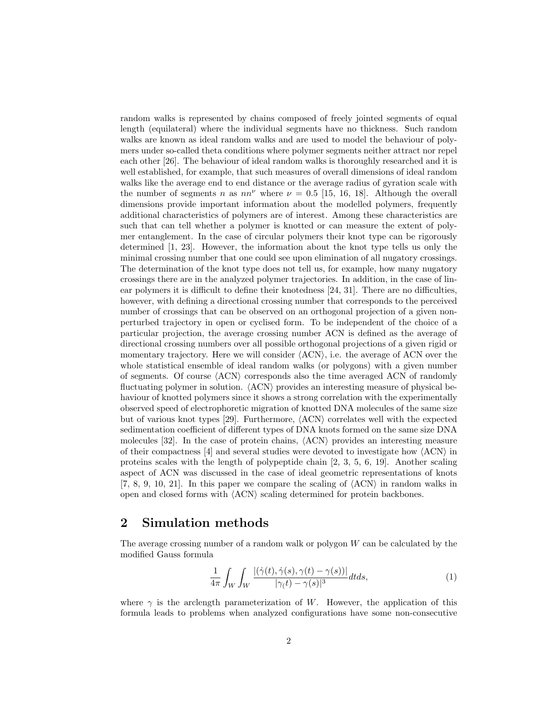random walks is represented by chains composed of freely jointed segments of equal length (equilateral) where the individual segments have no thickness. Such random walks are known as ideal random walks and are used to model the behaviour of polymers under so-called theta conditions where polymer segments neither attract nor repel each other [26]. The behaviour of ideal random walks is thoroughly researched and it is well established, for example, that such measures of overall dimensions of ideal random walks like the average end to end distance or the average radius of gyration scale with the number of segments n as  $nn^{\nu}$  where  $\nu = 0.5$  [15, 16, 18]. Although the overall dimensions provide important information about the modelled polymers, frequently additional characteristics of polymers are of interest. Among these characteristics are such that can tell whether a polymer is knotted or can measure the extent of polymer entanglement. In the case of circular polymers their knot type can be rigorously determined [1, 23]. However, the information about the knot type tells us only the minimal crossing number that one could see upon elimination of all nugatory crossings. The determination of the knot type does not tell us, for example, how many nugatory crossings there are in the analyzed polymer trajectories. In addition, in the case of linear polymers it is difficult to define their knotedness [24, 31]. There are no difficulties, however, with defining a directional crossing number that corresponds to the perceived number of crossings that can be observed on an orthogonal projection of a given nonperturbed trajectory in open or cyclised form. To be independent of the choice of a particular projection, the average crossing number ACN is defined as the average of directional crossing numbers over all possible orthogonal projections of a given rigid or momentary trajectory. Here we will consider  $(ACN)$ , i.e. the average of ACN over the whole statistical ensemble of ideal random walks (or polygons) with a given number of segments. Of course  $\langle \text{ACN} \rangle$  corresponds also the time averaged ACN of randomly fluctuating polymer in solution.  $\langle \text{ACN} \rangle$  provides an interesting measure of physical behaviour of knotted polymers since it shows a strong correlation with the experimentally observed speed of electrophoretic migration of knotted DNA molecules of the same size but of various knot types [29]. Furthermore,  $\langle \text{ACN} \rangle$  correlates well with the expected sedimentation coefficient of different types of DNA knots formed on the same size DNA molecules [32]. In the case of protein chains,  $\langle \text{ACN} \rangle$  provides an interesting measure of their compactness [4] and several studies were devoted to investigate how  $\langle \text{ACN} \rangle$  in proteins scales with the length of polypeptide chain [2, 3, 5, 6, 19]. Another scaling aspect of ACN was discussed in the case of ideal geometric representations of knots [7, 8, 9, 10, 21]. In this paper we compare the scaling of  $\langle \text{ACN} \rangle$  in random walks in open and closed forms with  $\langle \text{ACN} \rangle$  scaling determined for protein backbones.

# 2 Simulation methods

The average crossing number of a random walk or polygon  $W$  can be calculated by the modified Gauss formula

$$
\frac{1}{4\pi} \int_W \int_W \frac{|(\dot{\gamma}(t), \dot{\gamma}(s), \gamma(t) - \gamma(s))|}{|\gamma(t) - \gamma(s)|^3} dt ds,
$$
\n(1)

where  $\gamma$  is the arclength parameterization of W. However, the application of this formula leads to problems when analyzed configurations have some non-consecutive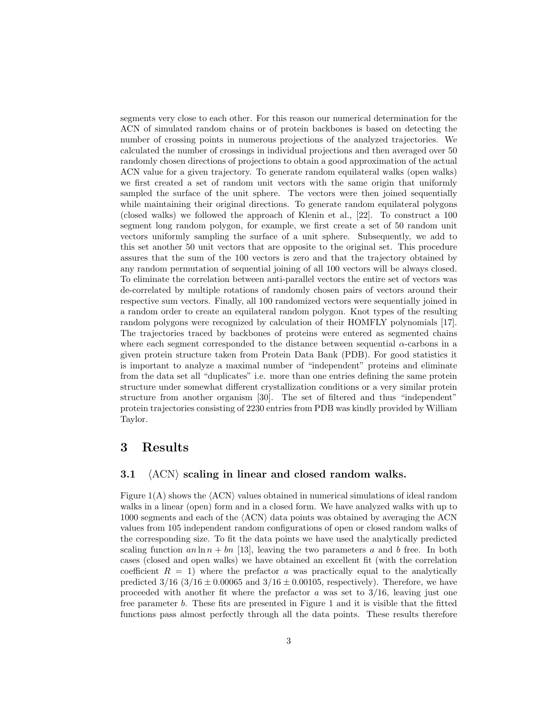segments very close to each other. For this reason our numerical determination for the ACN of simulated random chains or of protein backbones is based on detecting the number of crossing points in numerous projections of the analyzed trajectories. We calculated the number of crossings in individual projections and then averaged over 50 randomly chosen directions of projections to obtain a good approximation of the actual ACN value for a given trajectory. To generate random equilateral walks (open walks) we first created a set of random unit vectors with the same origin that uniformly sampled the surface of the unit sphere. The vectors were then joined sequentially while maintaining their original directions. To generate random equilateral polygons (closed walks) we followed the approach of Klenin et al., [22]. To construct a 100 segment long random polygon, for example, we first create a set of 50 random unit vectors uniformly sampling the surface of a unit sphere. Subsequently, we add to this set another 50 unit vectors that are opposite to the original set. This procedure assures that the sum of the 100 vectors is zero and that the trajectory obtained by any random permutation of sequential joining of all 100 vectors will be always closed. To eliminate the correlation between anti-parallel vectors the entire set of vectors was de-correlated by multiple rotations of randomly chosen pairs of vectors around their respective sum vectors. Finally, all 100 randomized vectors were sequentially joined in a random order to create an equilateral random polygon. Knot types of the resulting random polygons were recognized by calculation of their HOMFLY polynomials [17]. The trajectories traced by backbones of proteins were entered as segmented chains where each segment corresponded to the distance between sequential  $\alpha$ -carbons in a given protein structure taken from Protein Data Bank (PDB). For good statistics it is important to analyze a maximal number of "independent" proteins and eliminate from the data set all "duplicates" i.e. more than one entries defining the same protein structure under somewhat different crystallization conditions or a very similar protein structure from another organism [30]. The set of filtered and thus "independent" protein trajectories consisting of 2230 entries from PDB was kindly provided by William Taylor.

### 3 Results

#### 3.1  $\langle \text{ACN} \rangle$  scaling in linear and closed random walks.

Figure  $1(A)$  shows the  $\langle ACN \rangle$  values obtained in numerical simulations of ideal random walks in a linear (open) form and in a closed form. We have analyzed walks with up to 1000 segments and each of the  $\langle \text{ACN} \rangle$  data points was obtained by averaging the ACN values from 105 independent random configurations of open or closed random walks of the corresponding size. To fit the data points we have used the analytically predicted scaling function an  $\ln n + bn$  [13], leaving the two parameters a and b free. In both cases (closed and open walks) we have obtained an excellent fit (with the correlation coefficient  $R = 1$ ) where the prefactor a was practically equal to the analytically predicted  $3/16$   $(3/16 \pm 0.00065$  and  $3/16 \pm 0.00105$ , respectively). Therefore, we have proceeded with another fit where the prefactor  $a$  was set to  $3/16$ , leaving just one free parameter b. These fits are presented in Figure 1 and it is visible that the fitted functions pass almost perfectly through all the data points. These results therefore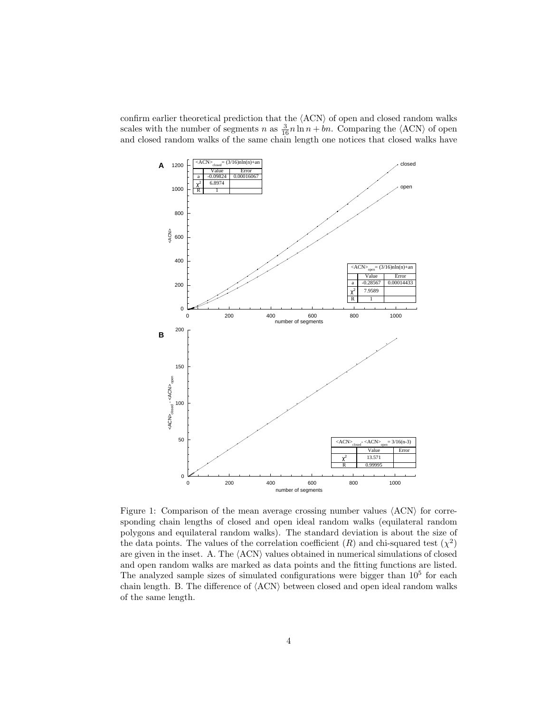confirm earlier theoretical prediction that the  $\langle \rm{ACN} \rangle$  of open and closed random walks scales with the number of segments n as  $\frac{3}{16}n \ln n + bn$ . Comparing the  $\langle \text{ACN} \rangle$  of open and closed random walks of the same chain length one notices that closed walks have



Figure 1: Comparison of the mean average crossing number values  $\langle \text{ACN} \rangle$  for corresponding chain lengths of closed and open ideal random walks (equilateral random polygons and equilateral random walks). The standard deviation is about the size of the data points. The values of the correlation coefficient  $(R)$  and chi-squared test  $(\chi^2)$ are given in the inset. A. The  $\langle \text{ACN} \rangle$  values obtained in numerical simulations of closed and open random walks are marked as data points and the fitting functions are listed. The analyzed sample sizes of simulated configurations were bigger than  $10<sup>5</sup>$  for each chain length. B. The difference of  $\langle \text{ACN} \rangle$  between closed and open ideal random walks of the same length.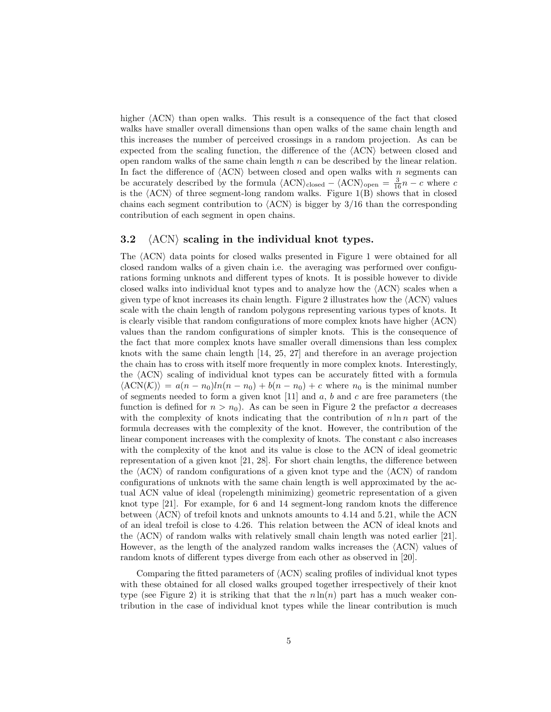higher  $\langle \text{ACN} \rangle$  than open walks. This result is a consequence of the fact that closed walks have smaller overall dimensions than open walks of the same chain length and this increases the number of perceived crossings in a random projection. As can be expected from the scaling function, the difference of the  $\langle \text{ACN} \rangle$  between closed and open random walks of the same chain length  $n$  can be described by the linear relation. In fact the difference of  $\langle \text{ACN} \rangle$  between closed and open walks with n segments can be accurately described by the formula  $\langle \text{ACN} \rangle_{\text{closed}} - \langle \text{ACN} \rangle_{\text{open}} = \frac{3}{16}n - c$  where c is the  $\langle \text{ACN} \rangle$  of three segment-long random walks. Figure 1(B) shows that in closed chains each segment contribution to  $\langle \text{ACN} \rangle$  is bigger by 3/16 than the corresponding contribution of each segment in open chains.

#### 3.2  $\langle \text{ACN} \rangle$  scaling in the individual knot types.

The  $\langle \text{ACN} \rangle$  data points for closed walks presented in Figure 1 were obtained for all closed random walks of a given chain i.e. the averaging was performed over configurations forming unknots and different types of knots. It is possible however to divide closed walks into individual knot types and to analyze how the  $\langle \text{ACN} \rangle$  scales when a given type of knot increases its chain length. Figure 2 illustrates how the  $\langle \text{ACN} \rangle$  values scale with the chain length of random polygons representing various types of knots. It is clearly visible that random configurations of more complex knots have higher  $\langle \rm{ACN} \rangle$ values than the random configurations of simpler knots. This is the consequence of the fact that more complex knots have smaller overall dimensions than less complex knots with the same chain length [14, 25, 27] and therefore in an average projection the chain has to cross with itself more frequently in more complex knots. Interestingly, the  $\langle \text{ACN} \rangle$  scaling of individual knot types can be accurately fitted with a formula  $\langle\text{ACN}(\mathcal{K})\rangle = a(n - n_0)ln(n - n_0) + b(n - n_0) + c$  where  $n_0$  is the minimal number of segments needed to form a given knot  $[11]$  and a, b and c are free parameters (the function is defined for  $n > n_0$ ). As can be seen in Figure 2 the prefactor a decreases with the complexity of knots indicating that the contribution of  $n \ln n$  part of the formula decreases with the complexity of the knot. However, the contribution of the linear component increases with the complexity of knots. The constant  $c$  also increases with the complexity of the knot and its value is close to the ACN of ideal geometric representation of a given knot [21, 28]. For short chain lengths, the difference between the  $\langle \text{ACN} \rangle$  of random configurations of a given knot type and the  $\langle \text{ACN} \rangle$  of random configurations of unknots with the same chain length is well approximated by the actual ACN value of ideal (ropelength minimizing) geometric representation of a given knot type [21]. For example, for 6 and 14 segment-long random knots the difference between  $\langle \text{ACN} \rangle$  of trefoil knots and unknots amounts to 4.14 and 5.21, while the ACN of an ideal trefoil is close to 4.26. This relation between the ACN of ideal knots and the  $\langle \text{ACN} \rangle$  of random walks with relatively small chain length was noted earlier [21]. However, as the length of the analyzed random walks increases the  $\langle \text{ACN} \rangle$  values of random knots of different types diverge from each other as observed in [20].

Comparing the fitted parameters of  $\langle \text{ACN} \rangle$  scaling profiles of individual knot types with these obtained for all closed walks grouped together irrespectively of their knot type (see Figure 2) it is striking that that the  $n \ln(n)$  part has a much weaker contribution in the case of individual knot types while the linear contribution is much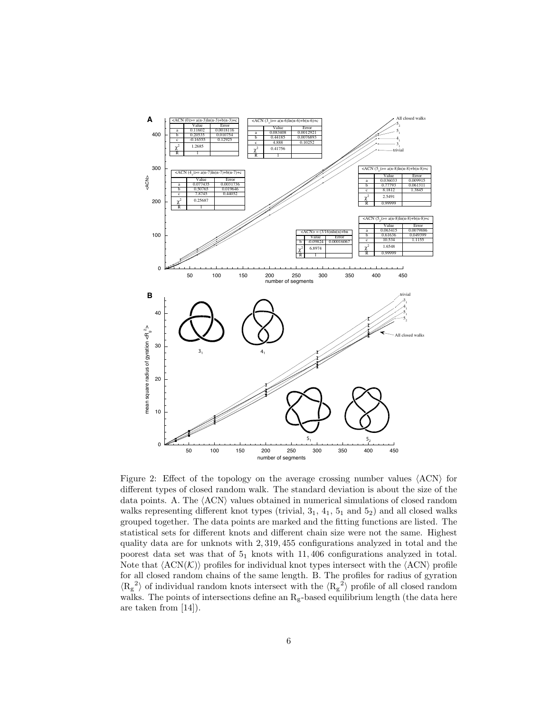

Figure 2: Effect of the topology on the average crossing number values  $(ACN)$  for different types of closed random walk. The standard deviation is about the size of the data points. A. The  $\langle \text{ACN} \rangle$  values obtained in numerical simulations of closed random walks representing different knot types (trivial,  $3<sub>1</sub>$ ,  $4<sub>1</sub>$ ,  $5<sub>1</sub>$  and  $5<sub>2</sub>$ ) and all closed walks grouped together. The data points are marked and the fitting functions are listed. The statistical sets for different knots and different chain size were not the same. Highest quality data are for unknots with 2, 319, 455 configurations analyzed in total and the poorest data set was that of  $5<sub>1</sub>$  knots with 11, 406 configurations analyzed in total. Note that  $\langle \text{ACN}(\mathcal{K}) \rangle$  profiles for individual knot types intersect with the  $\langle \text{ACN} \rangle$  profile for all closed random chains of the same length. B. The profiles for radius of gyration  $\langle R_g^2 \rangle$  of individual random knots intersect with the  $\langle R_g^2 \rangle$  profile of all closed random walks. The points of intersections define an  $R_g$ -based equilibrium length (the data here are taken from [14]).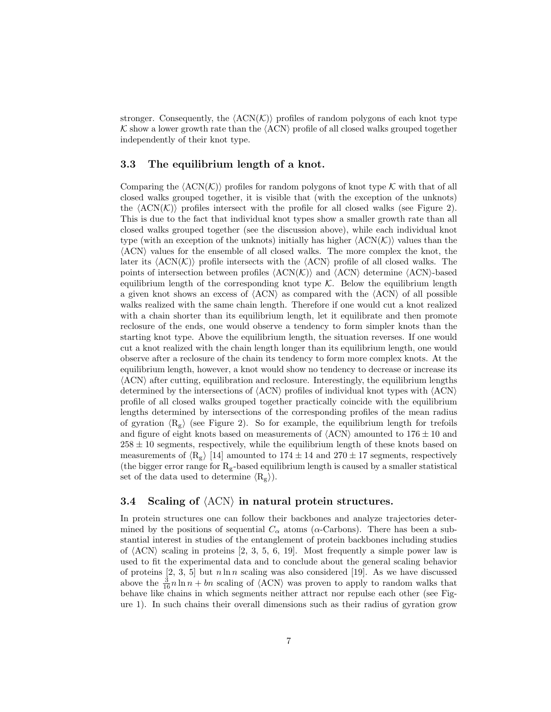stronger. Consequently, the  $\langle \text{ACN}(K) \rangle$  profiles of random polygons of each knot type  $K$  show a lower growth rate than the  $\langle \text{ACN} \rangle$  profile of all closed walks grouped together independently of their knot type.

#### 3.3 The equilibrium length of a knot.

Comparing the  $\langle \text{ACN}(\mathcal{K}) \rangle$  profiles for random polygons of knot type K with that of all closed walks grouped together, it is visible that (with the exception of the unknots) the  $\langle \text{ACN}(\mathcal{K}) \rangle$  profiles intersect with the profile for all closed walks (see Figure 2). This is due to the fact that individual knot types show a smaller growth rate than all closed walks grouped together (see the discussion above), while each individual knot type (with an exception of the unknots) initially has higher  $\langle \text{ACN}(K) \rangle$  values than the  $\langle \text{ACN} \rangle$  values for the ensemble of all closed walks. The more complex the knot, the later its  $\langle \text{ACN}(\mathcal{K}) \rangle$  profile intersects with the  $\langle \text{ACN} \rangle$  profile of all closed walks. The points of intersection between profiles  $\langle \text{ACN}(\mathcal{K}) \rangle$  and  $\langle \text{ACN} \rangle$  determine  $\langle \text{ACN} \rangle$ -based equilibrium length of the corresponding knot type  $K$ . Below the equilibrium length a given knot shows an excess of  $\langle \text{ACN} \rangle$  as compared with the  $\langle \text{ACN} \rangle$  of all possible walks realized with the same chain length. Therefore if one would cut a knot realized with a chain shorter than its equilibrium length, let it equilibrate and then promote reclosure of the ends, one would observe a tendency to form simpler knots than the starting knot type. Above the equilibrium length, the situation reverses. If one would cut a knot realized with the chain length longer than its equilibrium length, one would observe after a reclosure of the chain its tendency to form more complex knots. At the equilibrium length, however, a knot would show no tendency to decrease or increase its  $\langle \text{ACN} \rangle$  after cutting, equilibration and reclosure. Interestingly, the equilibrium lengths determined by the intersections of  $\langle \text{ACN} \rangle$  profiles of individual knot types with  $\langle \text{ACN} \rangle$ profile of all closed walks grouped together practically coincide with the equilibrium lengths determined by intersections of the corresponding profiles of the mean radius of gyration  $\langle R_g \rangle$  (see Figure 2). So for example, the equilibrium length for trefoils and figure of eight knots based on measurements of  $\langle \text{ACN} \rangle$  amounted to 176  $\pm$  10 and  $258 \pm 10$  segments, respectively, while the equilibrium length of these knots based on measurements of  $\langle R_g \rangle$  [14] amounted to 174 ± 14 and 270 ± 17 segments, respectively (the bigger error range for  $R_g$ -based equilibrium length is caused by a smaller statistical set of the data used to determine  $\langle R_g \rangle$ .

### 3.4 Scaling of  $\langle \text{ACN} \rangle$  in natural protein structures.

In protein structures one can follow their backbones and analyze trajectories determined by the positions of sequential  $C_{\alpha}$  atoms ( $\alpha$ -Carbons). There has been a substantial interest in studies of the entanglement of protein backbones including studies of  $\langle \text{ACN} \rangle$  scaling in proteins [2, 3, 5, 6, 19]. Most frequently a simple power law is used to fit the experimental data and to conclude about the general scaling behavior of proteins  $[2, 3, 5]$  but  $n \ln n$  scaling was also considered [19]. As we have discussed above the  $\frac{3}{16}n \ln n + bn$  scaling of  $\langle \text{ACN} \rangle$  was proven to apply to random walks that behave like chains in which segments neither attract nor repulse each other (see Figure 1). In such chains their overall dimensions such as their radius of gyration grow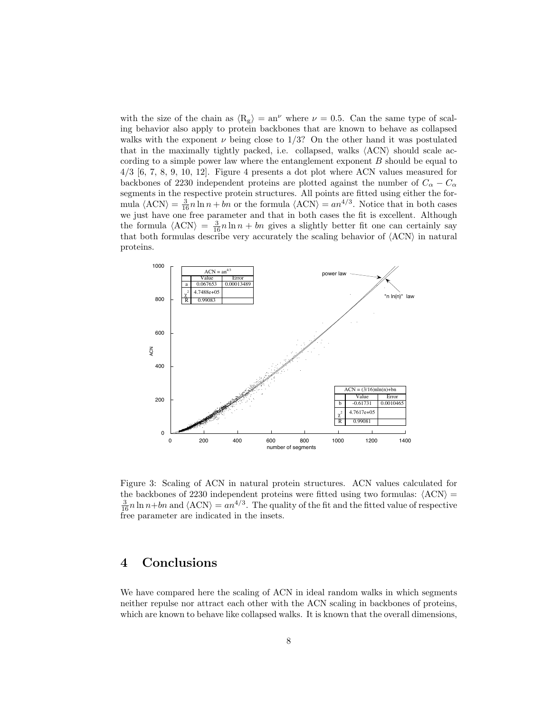with the size of the chain as  $\langle R_g \rangle = an^{\nu}$  where  $\nu = 0.5$ . Can the same type of scaling behavior also apply to protein backbones that are known to behave as collapsed walks with the exponent  $\nu$  being close to 1/3? On the other hand it was postulated that in the maximally tightly packed, i.e. collapsed, walks  $\langle \text{ACN} \rangle$  should scale according to a simple power law where the entanglement exponent B should be equal to 4/3 [6, 7, 8, 9, 10, 12]. Figure 4 presents a dot plot where ACN values measured for backbones of 2230 independent proteins are plotted against the number of  $C_{\alpha} - C_{\alpha}$ segments in the respective protein structures. All points are fitted using either the formula  $\langle \text{ACN} \rangle = \frac{3}{16}n \ln n + bn$  or the formula  $\langle \text{ACN} \rangle = a n^{4/3}$ . Notice that in both cases we just have one free parameter and that in both cases the fit is excellent. Although the formula  $\langle \text{ACN} \rangle = \frac{3}{16}n \ln n + bn$  gives a slightly better fit one can certainly say that both formulas describe very accurately the scaling behavior of  $\langle \text{ACN} \rangle$  in natural proteins.



Figure 3: Scaling of ACN in natural protein structures. ACN values calculated for the backbones of 2230 independent proteins were fitted using two formulas:  $\langle \text{ACN} \rangle$  =  $\frac{3}{16}n\ln n+bn$  and  $\langle \text{ACN} \rangle = a n^{4/3}$ . The quality of the fit and the fitted value of respective free parameter are indicated in the insets.

### 4 Conclusions

We have compared here the scaling of ACN in ideal random walks in which segments neither repulse nor attract each other with the ACN scaling in backbones of proteins, which are known to behave like collapsed walks. It is known that the overall dimensions,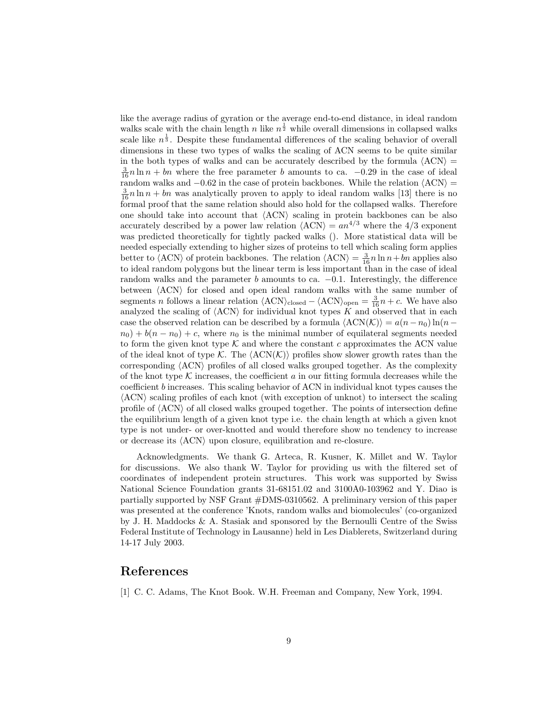like the average radius of gyration or the average end-to-end distance, in ideal random walks scale with the chain length n like  $n^{\frac{1}{2}}$  while overall dimensions in collapsed walks scale like  $n^{\frac{1}{3}}$ . Despite these fundamental differences of the scaling behavior of overall dimensions in these two types of walks the scaling of ACN seems to be quite similar in the both types of walks and can be accurately described by the formula  $\langle \text{ACN} \rangle$  =  $\frac{3}{16}n\ln n + bn$  where the free parameter b amounts to ca.  $-0.29$  in the case of ideal random walks and  $-0.62$  in the case of protein backbones. While the relation  $\langle \text{ACN} \rangle =$  $\frac{3}{16}n\ln n + bn$  was analytically proven to apply to ideal random walks [13] there is no formal proof that the same relation should also hold for the collapsed walks. Therefore one should take into account that  $\langle \text{ACN} \rangle$  scaling in protein backbones can be also accurately described by a power law relation  $\langle \text{ACN} \rangle = a n^{4/3}$  where the 4/3 exponent was predicted theoretically for tightly packed walks (). More statistical data will be needed especially extending to higher sizes of proteins to tell which scaling form applies better to  $\langle$ ACN $\rangle$  of protein backbones. The relation  $\langle$ ACN $\rangle = \frac{3}{16}n \ln n + bn$  applies also to ideal random polygons but the linear term is less important than in the case of ideal random walks and the parameter b amounts to ca.  $-0.1$ . Interestingly, the difference between  $\langle \text{ACN} \rangle$  for closed and open ideal random walks with the same number of segments *n* follows a linear relation  $\langle \text{ACN} \rangle_{\text{closed}} - \langle \text{ACN} \rangle_{\text{open}} = \frac{3}{16}n + c$ . We have also analyzed the scaling of  $\langle \text{ACN} \rangle$  for individual knot types K and observed that in each case the observed relation can be described by a formula  $\langle\text{ACN}(\mathcal{K})\rangle = a(n-n_0) \ln(n-\epsilon)$  $n_0$ ) +  $b(n - n_0)$  + c, where  $n_0$  is the minimal number of equilateral segments needed to form the given knot type  $K$  and where the constant c approximates the ACN value of the ideal knot of type K. The  $\langle \text{ACN}(K) \rangle$  profiles show slower growth rates than the corresponding  $\langle \text{ACN} \rangle$  profiles of all closed walks grouped together. As the complexity of the knot type  $K$  increases, the coefficient  $a$  in our fitting formula decreases while the coefficient b increases. This scaling behavior of ACN in individual knot types causes the  $\langle \text{ACN} \rangle$  scaling profiles of each knot (with exception of unknot) to intersect the scaling profile of  $\langle \text{ACN} \rangle$  of all closed walks grouped together. The points of intersection define the equilibrium length of a given knot type i.e. the chain length at which a given knot type is not under- or over-knotted and would therefore show no tendency to increase or decrease its  $\langle \text{ACN} \rangle$  upon closure, equilibration and re-closure.

Acknowledgments. We thank G. Arteca, R. Kusner, K. Millet and W. Taylor for discussions. We also thank W. Taylor for providing us with the filtered set of coordinates of independent protein structures. This work was supported by Swiss National Science Foundation grants 31-68151.02 and 3100A0-103962 and Y. Diao is partially supported by NSF Grant #DMS-0310562. A preliminary version of this paper was presented at the conference 'Knots, random walks and biomolecules' (co-organized by J. H. Maddocks & A. Stasiak and sponsored by the Bernoulli Centre of the Swiss Federal Institute of Technology in Lausanne) held in Les Diablerets, Switzerland during 14-17 July 2003.

### References

[1] C. C. Adams, The Knot Book. W.H. Freeman and Company, New York, 1994.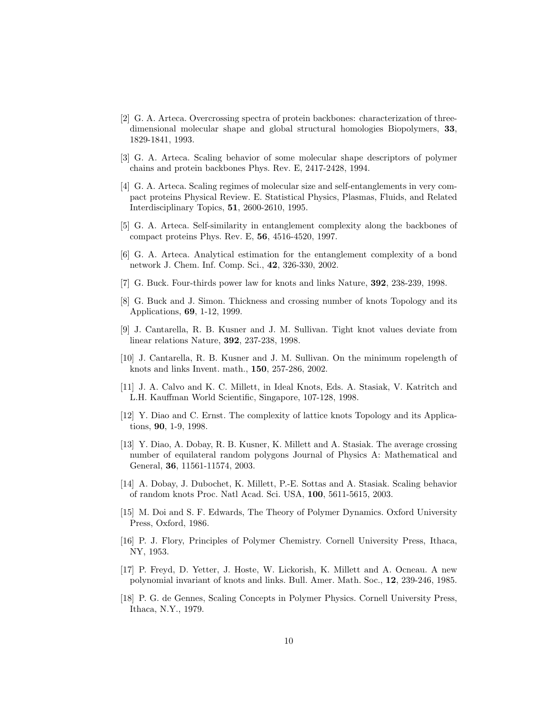- [2] G. A. Arteca. Overcrossing spectra of protein backbones: characterization of threedimensional molecular shape and global structural homologies Biopolymers, 33, 1829-1841, 1993.
- [3] G. A. Arteca. Scaling behavior of some molecular shape descriptors of polymer chains and protein backbones Phys. Rev. E, 2417-2428, 1994.
- [4] G. A. Arteca. Scaling regimes of molecular size and self-entanglements in very compact proteins Physical Review. E. Statistical Physics, Plasmas, Fluids, and Related Interdisciplinary Topics, 51, 2600-2610, 1995.
- [5] G. A. Arteca. Self-similarity in entanglement complexity along the backbones of compact proteins Phys. Rev. E, 56, 4516-4520, 1997.
- [6] G. A. Arteca. Analytical estimation for the entanglement complexity of a bond network J. Chem. Inf. Comp. Sci., 42, 326-330, 2002.
- [7] G. Buck. Four-thirds power law for knots and links Nature, 392, 238-239, 1998.
- [8] G. Buck and J. Simon. Thickness and crossing number of knots Topology and its Applications, 69, 1-12, 1999.
- [9] J. Cantarella, R. B. Kusner and J. M. Sullivan. Tight knot values deviate from linear relations Nature, 392, 237-238, 1998.
- [10] J. Cantarella, R. B. Kusner and J. M. Sullivan. On the minimum ropelength of knots and links Invent. math., 150, 257-286, 2002.
- [11] J. A. Calvo and K. C. Millett, in Ideal Knots, Eds. A. Stasiak, V. Katritch and L.H. Kauffman World Scientific, Singapore, 107-128, 1998.
- [12] Y. Diao and C. Ernst. The complexity of lattice knots Topology and its Applications, 90, 1-9, 1998.
- [13] Y. Diao, A. Dobay, R. B. Kusner, K. Millett and A. Stasiak. The average crossing number of equilateral random polygons Journal of Physics A: Mathematical and General, 36, 11561-11574, 2003.
- [14] A. Dobay, J. Dubochet, K. Millett, P.-E. Sottas and A. Stasiak. Scaling behavior of random knots Proc. Natl Acad. Sci. USA, 100, 5611-5615, 2003.
- [15] M. Doi and S. F. Edwards, The Theory of Polymer Dynamics. Oxford University Press, Oxford, 1986.
- [16] P. J. Flory, Principles of Polymer Chemistry. Cornell University Press, Ithaca, NY, 1953.
- [17] P. Freyd, D. Yetter, J. Hoste, W. Lickorish, K. Millett and A. Ocneau. A new polynomial invariant of knots and links. Bull. Amer. Math. Soc., 12, 239-246, 1985.
- [18] P. G. de Gennes, Scaling Concepts in Polymer Physics. Cornell University Press, Ithaca, N.Y., 1979.